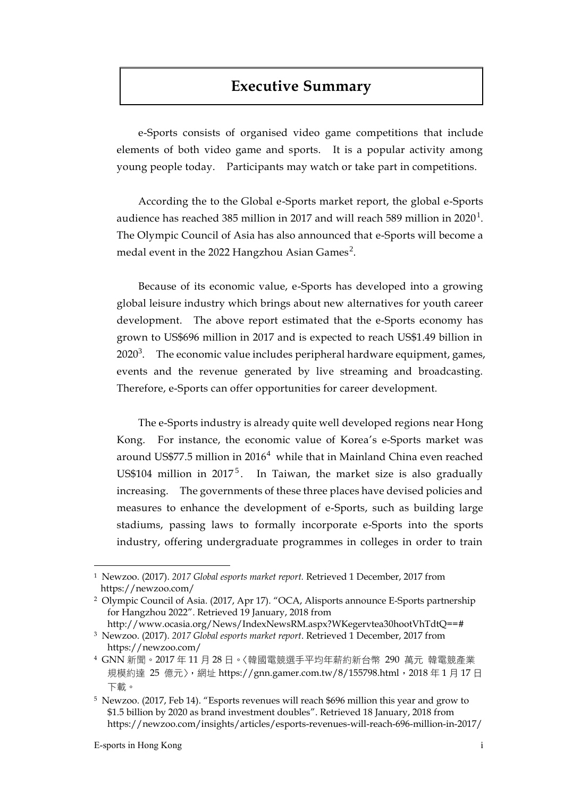## **Executive Summary**

e-Sports consists of organised video game competitions that include elements of both video game and sports. It is a popular activity among young people today. Participants may watch or take part in competitions.

According the to the Global e-Sports market report, the global e-Sports audience has reached 385 million in 2017 and will reach 589 million in 2020 $^{\rm l}$ . The Olympic Council of Asia has also announced that e-Sports will become a medal event in the 2022 Hangzhou Asian Games $^2$ .

Because of its economic value, e-Sports has developed into a growing global leisure industry which brings about new alternatives for youth career development. The above report estimated that the e-Sports economy has grown to US\$696 million in 2017 and is expected to reach US\$1.49 billion in 2020<sup>3</sup>. The economic value includes peripheral hardware equipment, games, events and the revenue generated by live streaming and broadcasting. Therefore, e-Sports can offer opportunities for career development.

The e-Sports industry is already quite well developed regions near Hong Kong. For instance, the economic value of Korea's e-Sports market was around US\$77.5 million in 2016<sup>4</sup> while that in Mainland China even reached US\$104 million in  $2017^5$ . In Taiwan, the market size is also gradually increasing. The governments of these three places have devised policies and measures to enhance the development of e-Sports, such as building large stadiums, passing laws to formally incorporate e-Sports into the sports industry, offering undergraduate programmes in colleges in order to train

 $\overline{a}$ 

<sup>1</sup> Newzoo. (2017). *2017 Global esports market report.* Retrieved 1 December, 2017 from https://newzoo.com/

<sup>2</sup> Olympic Council of Asia. (2017, Apr 17). "OCA, Alisports announce E-Sports partnership for Hangzhou 2022". Retrieved 19 January, 2018 from

http://www.ocasia.org/News/IndexNewsRM.aspx?WKegervtea30hootVhTdtQ==# <sup>3</sup> Newzoo. (2017). *2017 Global esports market report*. Retrieved 1 December, 2017 from https://newzoo.com/

<sup>4</sup> GNN 新聞。2017 年 11 月 28 日。〈韓國電競選手平均年薪約新台幣 290 萬元 韓電競產業 規模約達 25 億元〉, 網址 https://gnn.gamer.com.tw/8/155798.html, 2018年1月17日 下載。

<sup>5</sup> Newzoo. (2017, Feb 14). "Esports revenues will reach \$696 million this year and grow to \$1.5 billion by 2020 as brand investment doubles". Retrieved 18 January, 2018 from https://newzoo.com/insights/articles/esports-revenues-will-reach-696-million-in-2017/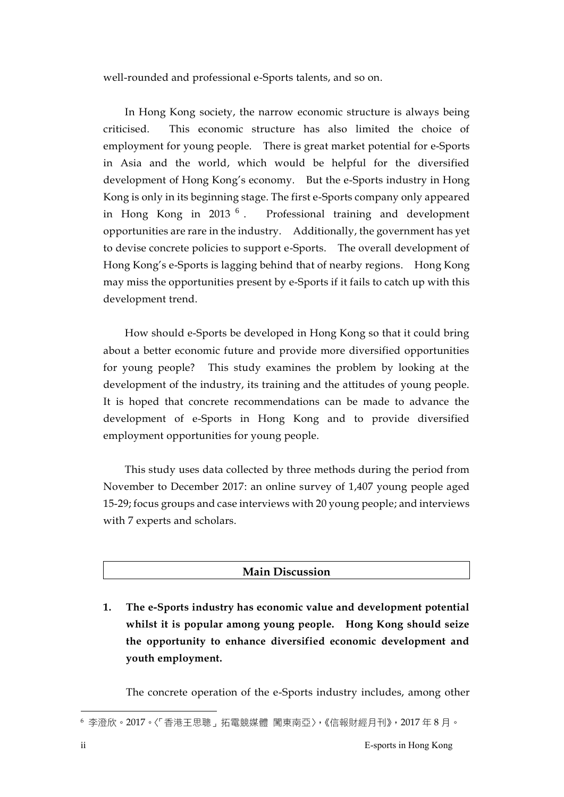well-rounded and professional e-Sports talents, and so on.

In Hong Kong society, the narrow economic structure is always being criticised. This economic structure has also limited the choice of employment for young people. There is great market potential for e-Sports in Asia and the world, which would be helpful for the diversified development of Hong Kong's economy. But the e-Sports industry in Hong Kong is only in its beginning stage. The first e-Sports company only appeared in Hong Kong in  $2013<sup>6</sup>$ . . Professional training and development opportunities are rare in the industry. Additionally, the government has yet to devise concrete policies to support e-Sports. The overall development of Hong Kong's e-Sports is lagging behind that of nearby regions. Hong Kong may miss the opportunities present by e-Sports if it fails to catch up with this development trend.

How should e-Sports be developed in Hong Kong so that it could bring about a better economic future and provide more diversified opportunities for young people? This study examines the problem by looking at the development of the industry, its training and the attitudes of young people. It is hoped that concrete recommendations can be made to advance the development of e-Sports in Hong Kong and to provide diversified employment opportunities for young people.

This study uses data collected by three methods during the period from November to December 2017: an online survey of 1,407 young people aged 15-29; focus groups and case interviews with 20 young people; and interviews with 7 experts and scholars.

## **Main Discussion**

**1. The e-Sports industry has economic value and development potential whilst it is popular among young people. Hong Kong should seize the opportunity to enhance diversified economic development and youth employment.**

The concrete operation of the e-Sports industry includes, among other

1

<sup>6</sup> 李澄欣。2017。〈「香港王思聰」拓電競媒體 闖東南亞〉,《信報財經月刊》,2017 年 8 月。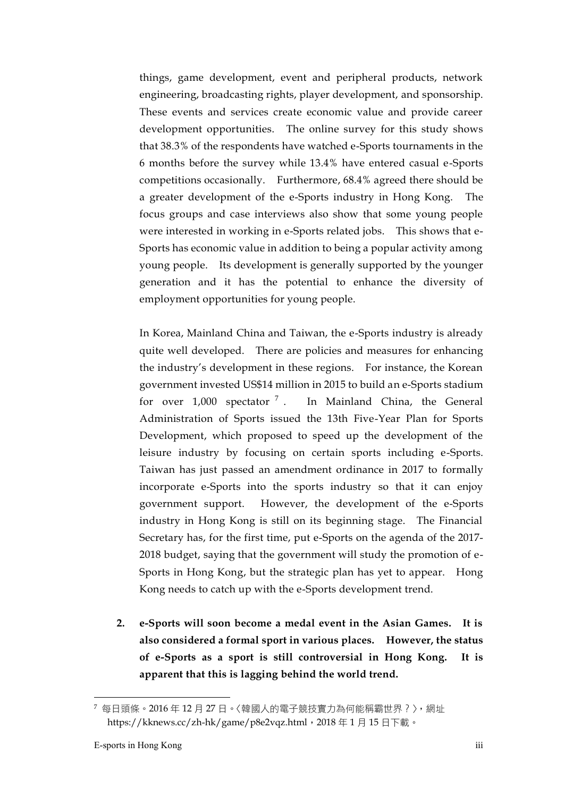things, game development, event and peripheral products, network engineering, broadcasting rights, player development, and sponsorship. These events and services create economic value and provide career development opportunities. The online survey for this study shows that 38.3% of the respondents have watched e-Sports tournaments in the 6 months before the survey while 13.4% have entered casual e-Sports competitions occasionally. Furthermore, 68.4% agreed there should be a greater development of the e-Sports industry in Hong Kong. The focus groups and case interviews also show that some young people were interested in working in e-Sports related jobs. This shows that e-Sports has economic value in addition to being a popular activity among young people. Its development is generally supported by the younger generation and it has the potential to enhance the diversity of employment opportunities for young people.

In Korea, Mainland China and Taiwan, the e-Sports industry is already quite well developed. There are policies and measures for enhancing the industry's development in these regions. For instance, the Korean government invested US\$14 million in 2015 to build an e-Sports stadium for over  $1,000$  spectator  $^7$ . . In Mainland China, the General Administration of Sports issued the 13th Five-Year Plan for Sports Development, which proposed to speed up the development of the leisure industry by focusing on certain sports including e-Sports. Taiwan has just passed an amendment ordinance in 2017 to formally incorporate e-Sports into the sports industry so that it can enjoy government support. However, the development of the e-Sports industry in Hong Kong is still on its beginning stage. The Financial Secretary has, for the first time, put e-Sports on the agenda of the 2017- 2018 budget, saying that the government will study the promotion of e-Sports in Hong Kong, but the strategic plan has yet to appear. Hong Kong needs to catch up with the e-Sports development trend.

**2. e-Sports will soon become a medal event in the Asian Games. It is also considered a formal sport in various places. However, the status of e-Sports as a sport is still controversial in Hong Kong. It is apparent that this is lagging behind the world trend.**

 $\overline{a}$ 

<sup>7</sup> 每日頭條。2016年12月27日。〈韓國人的電子競技實力為何能稱霸世界 ? 〉, 網址 https://kknews.cc/zh-hk/game/p8e2vqz.html, 2018年1月15日下載。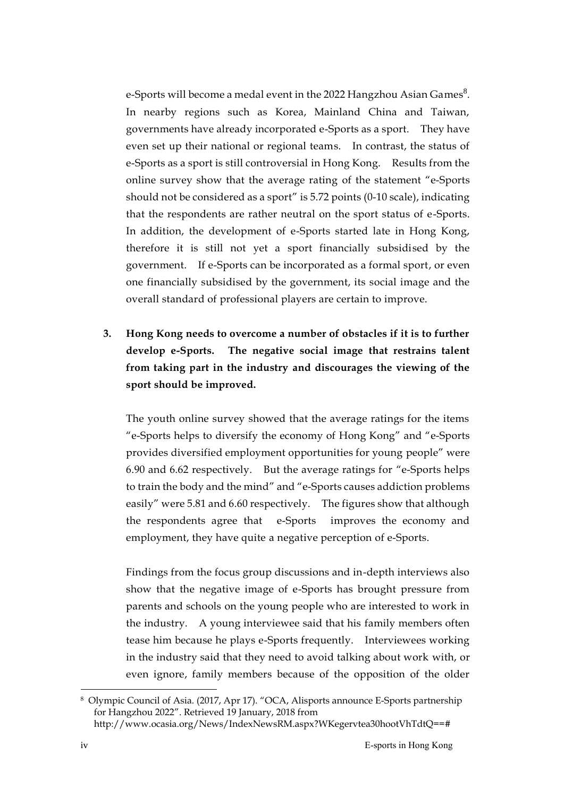e-Sports will become a medal event in the 2022 Hangzhou Asian Games $^8$ . In nearby regions such as Korea, Mainland China and Taiwan, governments have already incorporated e-Sports as a sport. They have even set up their national or regional teams. In contrast, the status of e-Sports as a sport is still controversial in Hong Kong. Results from the online survey show that the average rating of the statement "e-Sports should not be considered as a sport" is 5.72 points (0-10 scale), indicating that the respondents are rather neutral on the sport status of e-Sports. In addition, the development of e-Sports started late in Hong Kong, therefore it is still not yet a sport financially subsidised by the government. If e-Sports can be incorporated as a formal sport, or even one financially subsidised by the government, its social image and the overall standard of professional players are certain to improve.

**3. Hong Kong needs to overcome a number of obstacles if it is to further develop e-Sports. The negative social image that restrains talent from taking part in the industry and discourages the viewing of the sport should be improved.**

The youth online survey showed that the average ratings for the items "e-Sports helps to diversify the economy of Hong Kong" and "e-Sports provides diversified employment opportunities for young people" were 6.90 and 6.62 respectively. But the average ratings for "e-Sports helps to train the body and the mind" and "e-Sports causes addiction problems easily" were 5.81 and 6.60 respectively. The figures show that although the respondents agree that e-Sports improves the economy and employment, they have quite a negative perception of e-Sports.

Findings from the focus group discussions and in-depth interviews also show that the negative image of e-Sports has brought pressure from parents and schools on the young people who are interested to work in the industry. A young interviewee said that his family members often tease him because he plays e-Sports frequently. Interviewees working in the industry said that they need to avoid talking about work with, or even ignore, family members because of the opposition of the older

1

<sup>8</sup> Olympic Council of Asia. (2017, Apr 17). "OCA, Alisports announce E-Sports partnership for Hangzhou 2022". Retrieved 19 January, 2018 from http://www.ocasia.org/News/IndexNewsRM.aspx?WKegervtea30hootVhTdtQ==#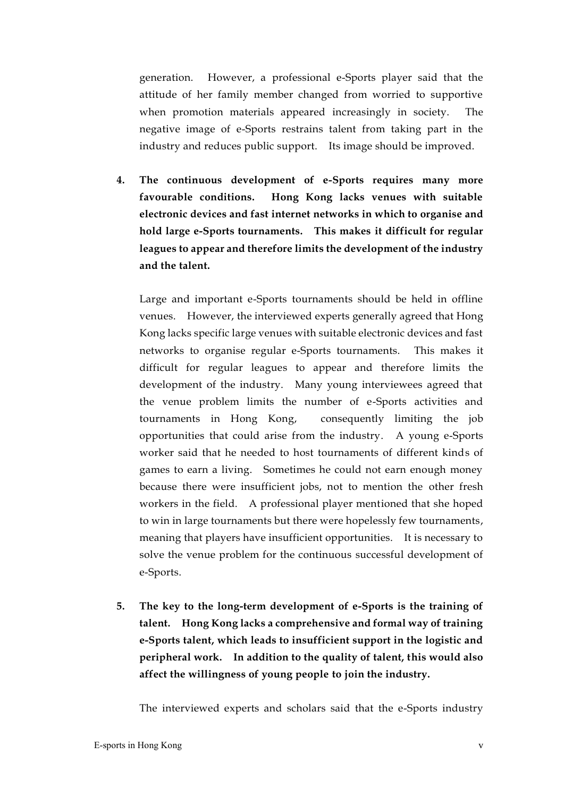generation. However, a professional e-Sports player said that the attitude of her family member changed from worried to supportive when promotion materials appeared increasingly in society. The negative image of e-Sports restrains talent from taking part in the industry and reduces public support. Its image should be improved.

**4. The continuous development of e-Sports requires many more favourable conditions. Hong Kong lacks venues with suitable electronic devices and fast internet networks in which to organise and hold large e-Sports tournaments. This makes it difficult for regular leagues to appear and therefore limits the development of the industry and the talent.**

Large and important e-Sports tournaments should be held in offline venues. However, the interviewed experts generally agreed that Hong Kong lacks specific large venues with suitable electronic devices and fast networks to organise regular e-Sports tournaments. This makes it difficult for regular leagues to appear and therefore limits the development of the industry. Many young interviewees agreed that the venue problem limits the number of e-Sports activities and tournaments in Hong Kong, consequently limiting the job opportunities that could arise from the industry. A young e-Sports worker said that he needed to host tournaments of different kinds of games to earn a living. Sometimes he could not earn enough money because there were insufficient jobs, not to mention the other fresh workers in the field. A professional player mentioned that she hoped to win in large tournaments but there were hopelessly few tournaments, meaning that players have insufficient opportunities. It is necessary to solve the venue problem for the continuous successful development of e-Sports.

**5. The key to the long-term development of e-Sports is the training of talent. Hong Kong lacks a comprehensive and formal way of training e-Sports talent, which leads to insufficient support in the logistic and peripheral work. In addition to the quality of talent, this would also affect the willingness of young people to join the industry.**

The interviewed experts and scholars said that the e-Sports industry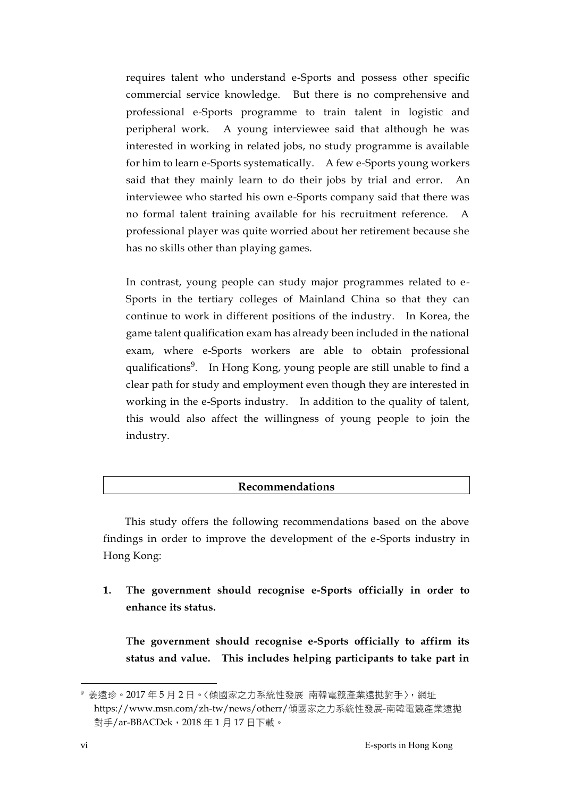requires talent who understand e-Sports and possess other specific commercial service knowledge. But there is no comprehensive and professional e-Sports programme to train talent in logistic and peripheral work. A young interviewee said that although he was interested in working in related jobs, no study programme is available for him to learn e-Sports systematically. A few e-Sports young workers said that they mainly learn to do their jobs by trial and error. An interviewee who started his own e-Sports company said that there was no formal talent training available for his recruitment reference. A professional player was quite worried about her retirement because she has no skills other than playing games.

In contrast, young people can study major programmes related to e-Sports in the tertiary colleges of Mainland China so that they can continue to work in different positions of the industry. In Korea, the game talent qualification exam has already been included in the national exam, where e-Sports workers are able to obtain professional qualifications<sup>9</sup>. In Hong Kong, young people are still unable to find a clear path for study and employment even though they are interested in working in the e-Sports industry. In addition to the quality of talent, this would also affect the willingness of young people to join the industry.

## **Recommendations**

This study offers the following recommendations based on the above findings in order to improve the development of the e-Sports industry in Hong Kong:

**1. The government should recognise e-Sports officially in order to enhance its status.**

**The government should recognise e-Sports officially to affirm its status and value. This includes helping participants to take part in** 

1

<sup>9</sup> 姜遠珍。2017 年 5 月 2 日。〈傾國家之力系統性發展 南韓電競產業遠拋對手〉,網址 https://www.msn.com/zh-tw/news/otherr/傾國家之力系統性發展-南韓電競產業遠拋 對手/ar-BBACDck,2018 年 1 月 17 日下載。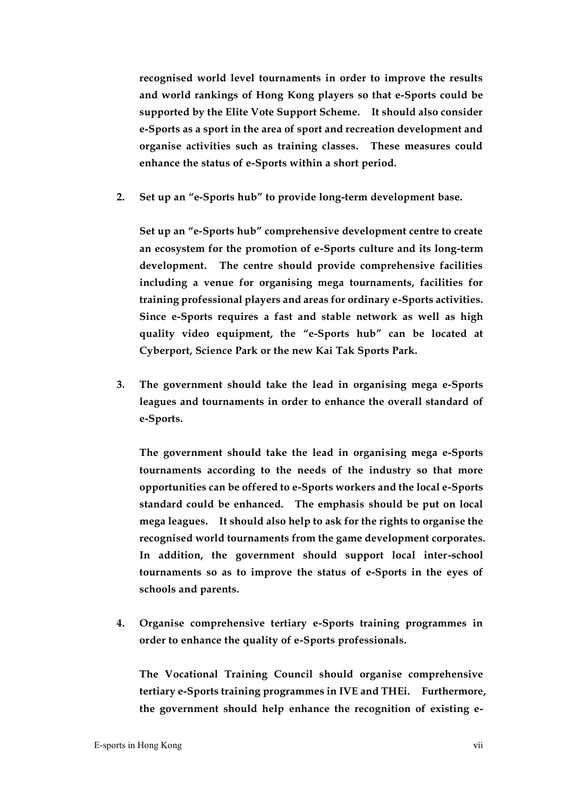**recognised world level tournaments in order to improve the results and world rankings of Hong Kong players so that e-Sports could be supported by the Elite Vote Support Scheme. It should also consider e-Sports as a sport in the area of sport and recreation development and organise activities such as training classes. These measures could enhance the status of e-Sports within a short period.**

**2. Set up an "e-Sports hub" to provide long-term development base.**

**Set up an "e-Sports hub" comprehensive development centre to create an ecosystem for the promotion of e-Sports culture and its long-term development. The centre should provide comprehensive facilities including a venue for organising mega tournaments, facilities for training professional players and areas for ordinary e-Sports activities. Since e-Sports requires a fast and stable network as well as high quality video equipment, the "e-Sports hub" can be located at Cyberport, Science Park or the new Kai Tak Sports Park.**

**3. The government should take the lead in organising mega e-Sports leagues and tournaments in order to enhance the overall standard of e-Sports.**

**The government should take the lead in organising mega e-Sports tournaments according to the needs of the industry so that more opportunities can be offered to e-Sports workers and the local e-Sports standard could be enhanced. The emphasis should be put on local mega leagues. It should also help to ask for the rights to organise the recognised world tournaments from the game development corporates. In addition, the government should support local inter-school tournaments so as to improve the status of e-Sports in the eyes of schools and parents.**

**4. Organise comprehensive tertiary e-Sports training programmes in order to enhance the quality of e-Sports professionals.**

**The Vocational Training Council should organise comprehensive tertiary e-Sports training programmes in IVE and THEi. Furthermore, the government should help enhance the recognition of existing e-**